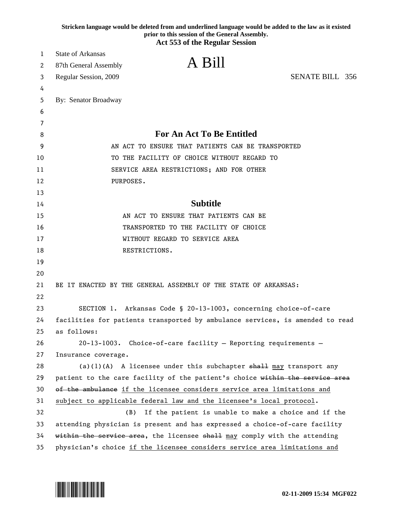|    | Stricken language would be deleted from and underlined language would be added to the law as it existed<br>prior to this session of the General Assembly.<br><b>Act 553 of the Regular Session</b> |
|----|----------------------------------------------------------------------------------------------------------------------------------------------------------------------------------------------------|
| 1  | <b>State of Arkansas</b>                                                                                                                                                                           |
| 2  | A Bill<br>87th General Assembly                                                                                                                                                                    |
| 3  | <b>SENATE BILL 356</b><br>Regular Session, 2009                                                                                                                                                    |
| 4  |                                                                                                                                                                                                    |
| 5  | By: Senator Broadway                                                                                                                                                                               |
| 6  |                                                                                                                                                                                                    |
| 7  |                                                                                                                                                                                                    |
| 8  | <b>For An Act To Be Entitled</b>                                                                                                                                                                   |
| 9  | AN ACT TO ENSURE THAT PATIENTS CAN BE TRANSPORTED                                                                                                                                                  |
| 10 | TO THE FACILITY OF CHOICE WITHOUT REGARD TO                                                                                                                                                        |
| 11 | SERVICE AREA RESTRICTIONS; AND FOR OTHER                                                                                                                                                           |
| 12 | PURPOSES.                                                                                                                                                                                          |
| 13 |                                                                                                                                                                                                    |
| 14 | <b>Subtitle</b>                                                                                                                                                                                    |
| 15 | AN ACT TO ENSURE THAT PATIENTS CAN BE                                                                                                                                                              |
| 16 | TRANSPORTED TO THE FACILITY OF CHOICE                                                                                                                                                              |
| 17 | WITHOUT REGARD TO SERVICE AREA                                                                                                                                                                     |
| 18 | RESTRICTIONS.                                                                                                                                                                                      |
| 19 |                                                                                                                                                                                                    |
| 20 |                                                                                                                                                                                                    |
| 21 | BE IT ENACTED BY THE GENERAL ASSEMBLY OF THE STATE OF ARKANSAS:                                                                                                                                    |
| 22 |                                                                                                                                                                                                    |
| 23 | SECTION 1. Arkansas Code § 20-13-1003, concerning choice-of-care                                                                                                                                   |
| 24 | facilities for patients transported by ambulance services, is amended to read                                                                                                                      |
| 25 | as follows:                                                                                                                                                                                        |
| 26 | 20-13-1003. Choice-of-care facility - Reporting requirements -                                                                                                                                     |
| 27 | Insurance coverage.                                                                                                                                                                                |
| 28 | (a)(1)(A) A licensee under this subchapter $shall$ may transport any                                                                                                                               |
| 29 | patient to the care facility of the patient's choice within the service area                                                                                                                       |
| 30 | of the ambulance if the licensee considers service area limitations and                                                                                                                            |
| 31 | subject to applicable federal law and the licensee's local protocol.                                                                                                                               |
| 32 | If the patient is unable to make a choice and if the<br>(B)                                                                                                                                        |
| 33 | attending physician is present and has expressed a choice-of-care facility                                                                                                                         |
| 34 | within the service area, the licensee shall may comply with the attending                                                                                                                          |
| 35 | physician's choice if the licensee considers service area limitations and                                                                                                                          |